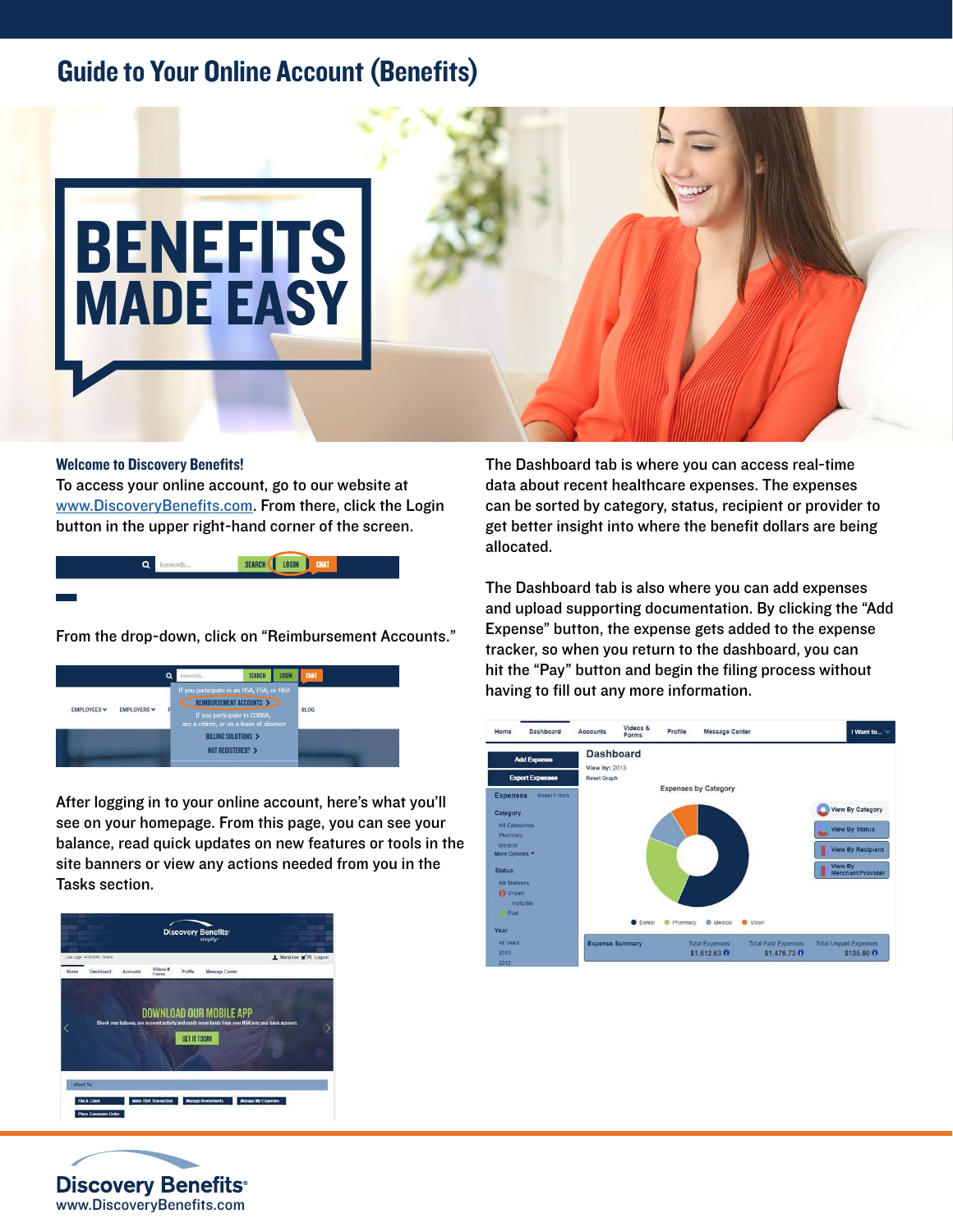## Guide to Your Online Account (Benefits)



## Welcome to Discovery Benefits!

To access your online account, go to our website at [www.DiscoveryBenefits.com](http://www.DiscoveryBenefits.com). From there, click the Login button in the upper right-hand corner of the screen.



From the drop-down, click on "Reimbursement Accounts."

|                                        | o | <b>LOGIN</b><br><b>SEARCH</b><br>keywords                                                                                                      | <b>CHAT</b> |
|----------------------------------------|---|------------------------------------------------------------------------------------------------------------------------------------------------|-------------|
| <b>EMPLOYERS</b> V<br><b>EMPLOYEES</b> |   | If you participate in an HSA, FSA, or HRA<br>REIMBURSEMENT ACCOUNTS<br>If you participate in COBRA,<br>are a retiree, or on a leave of absence | <b>BLOG</b> |
|                                        |   | BILLING SOLUTIONS ><br>NOT REGISTERED? >                                                                                                       |             |

After logging in to your online account, here's what you'll see on your homepage. From this page, you can see your balance, read quick updates on new features or tools in the site banners or view any actions needed from you in the Tasks section.





The Dashboard tab is where you can access real-time data about recent healthcare expenses. The expenses can be sorted by category, status, recipient or provider to get better insight into where the benefit dollars are being allocated.

The Dashboard tab is also where you can add expenses and upload supporting documentation. By clicking the "Add Expense" button, the expense gets added to the expense tracker, so when you return to the dashboard, you can hit the "Pay" button and begin the filing process without having to fill out any more information.